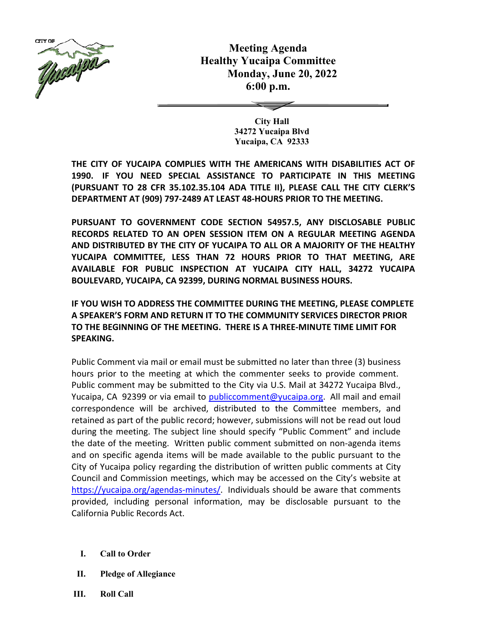

**Meeting Agenda Healthy Yucaipa Committee Monday, June 20, 2022 6:00 p.m.** 

> **City Hall 34272 Yucaipa Blvd Yucaipa, CA 92333**

**THE CITY OF YUCAIPA COMPLIES WITH THE AMERICANS WITH DISABILITIES ACT OF 1990. IF YOU NEED SPECIAL ASSISTANCE TO PARTICIPATE IN THIS MEETING (PURSUANT TO 28 CFR 35.102.35.104 ADA TITLE II), PLEASE CALL THE CITY CLERK'S DEPARTMENT AT (909) 797-2489 AT LEAST 48-HOURS PRIOR TO THE MEETING.**

**PURSUANT TO GOVERNMENT CODE SECTION 54957.5, ANY DISCLOSABLE PUBLIC RECORDS RELATED TO AN OPEN SESSION ITEM ON A REGULAR MEETING AGENDA AND DISTRIBUTED BY THE CITY OF YUCAIPA TO ALL OR A MAJORITY OF THE HEALTHY YUCAIPA COMMITTEE, LESS THAN 72 HOURS PRIOR TO THAT MEETING, ARE AVAILABLE FOR PUBLIC INSPECTION AT YUCAIPA CITY HALL, 34272 YUCAIPA BOULEVARD, YUCAIPA, CA 92399, DURING NORMAL BUSINESS HOURS.** 

**IF YOU WISH TO ADDRESS THE COMMITTEE DURING THE MEETING, PLEASE COMPLETE A SPEAKER'S FORM AND RETURN IT TO THE COMMUNITY SERVICES DIRECTOR PRIOR TO THE BEGINNING OF THE MEETING. THERE IS A THREE-MINUTE TIME LIMIT FOR SPEAKING.**

Public Comment via mail or email must be submitted no later than three (3) business hours prior to the meeting at which the commenter seeks to provide comment. Public comment may be submitted to the City via U.S. Mail at 34272 Yucaipa Blvd., Yucaipa, CA 92399 or via email to publiccomment@yucaipa.org. All mail and email correspondence will be archived, distributed to the Committee members, and retained as part of the public record; however, submissions will not be read out loud during the meeting. The subject line should specify "Public Comment" and include the date of the meeting. Written public comment submitted on non-agenda items and on specific agenda items will be made available to the public pursuant to the City of Yucaipa policy regarding the distribution of written public comments at City Council and Commission meetings, which may be accessed on the City's website at https://yucaipa.org/agendas-minutes/. Individuals should be aware that comments provided, including personal information, may be disclosable pursuant to the California Public Records Act.

- **I. Call to Order**
- **II. Pledge of Allegiance**
- **III. Roll Call**